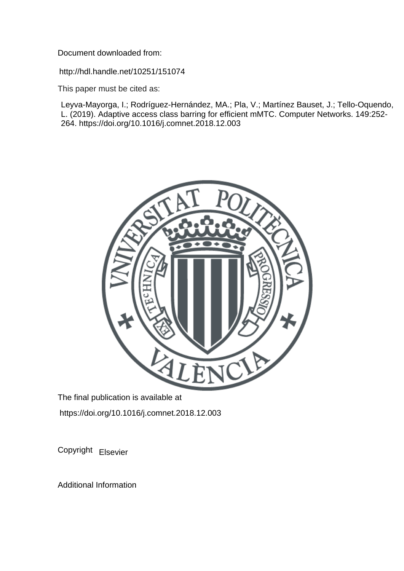Document downloaded from:

http://hdl.handle.net/10251/151074

This paper must be cited as:

Leyva-Mayorga, I.; Rodríguez-Hernández, MA.; Pla, V.; Martínez Bauset, J.; Tello-Oquendo, L. (2019). Adaptive access class barring for efficient mMTC. Computer Networks. 149:252- 264. https://doi.org/10.1016/j.comnet.2018.12.003



The final publication is available at https://doi.org/10.1016/j.comnet.2018.12.003

Copyright Elsevier

Additional Information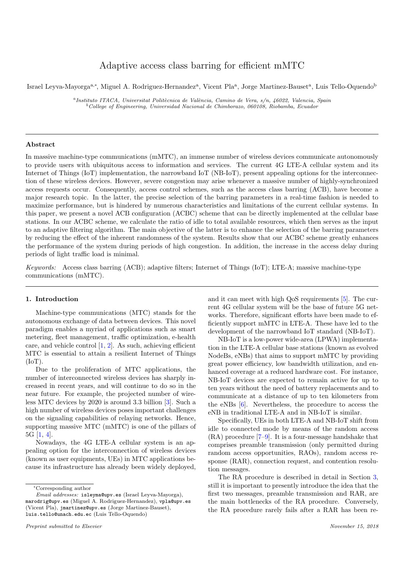# Adaptive access class barring for efficient mMTC

Israel Leyva-Mayorga<sup>a,∗</sup>, Miguel A. Rodriguez-Hernandez<sup>a</sup>, Vicent Pla<sup>a</sup>, Jorge Martinez-Bauset<sup>a</sup>, Luis Tello-Oquendo<sup>b</sup>

<sup>a</sup>Instituto ITACA, Universitat Politècnica de València, Camino de Vera, s/n, 46022, Valencia, Spain <sup>b</sup>College of Engineering, Universidad Nacional de Chimborazo, 060108, Riobamba, Ecuador

## Abstract

In massive machine-type communications (mMTC), an immense number of wireless devices communicate autonomously to provide users with ubiquitous access to information and services. The current 4G LTE-A cellular system and its Internet of Things (IoT) implementation, the narrowband IoT (NB-IoT), present appealing options for the interconnection of these wireless devices. However, severe congestion may arise whenever a massive number of highly-synchronized access requests occur. Consequently, access control schemes, such as the access class barring (ACB), have become a major research topic. In the latter, the precise selection of the barring parameters in a real-time fashion is needed to maximize performance, but is hindered by numerous characteristics and limitations of the current cellular systems. In this paper, we present a novel ACB configuration (ACBC) scheme that can be directly implemented at the cellular base stations. In our ACBC scheme, we calculate the ratio of idle to total available resources, which then serves as the input to an adaptive filtering algorithm. The main objective of the latter is to enhance the selection of the barring parameters by reducing the effect of the inherent randomness of the system. Results show that our ACBC scheme greatly enhances the performance of the system during periods of high congestion. In addition, the increase in the access delay during periods of light traffic load is minimal.

Keywords: Access class barring (ACB); adaptive filters; Internet of Things (IoT); LTE-A; massive machine-type communications (mMTC).

#### 1. Introduction

Machine-type communications (MTC) stands for the autonomous exchange of data between devices. This novel paradigm enables a myriad of applications such as smart metering, fleet management, traffic optimization, e-health care, and vehicle control  $[1, 2]$  $[1, 2]$  $[1, 2]$ . As such, achieving efficient MTC is essential to attain a resilient Internet of Things  $(IoT)$ .

Due to the proliferation of MTC applications, the number of interconnected wireless devices has sharply increased in recent years, and will continue to do so in the near future. For example, the projected number of wireless MTC devices by 2020 is around 3.3 billion [\[3\]](#page-15-2). Such a high number of wireless devices poses important challenges on the signaling capabilities of relaying networks. Hence, supporting massive MTC (mMTC) is one of the pillars of 5G [\[1,](#page-15-0) [4\]](#page-15-3).

Nowadays, the 4G LTE-A cellular system is an appealing option for the interconnection of wireless devices (known as user equipments, UEs) in MTC applications because its infrastructure has already been widely deployed, and it can meet with high QoS requirements [\[5\]](#page-15-4). The current 4G cellular system will be the base of future 5G networks. Therefore, significant efforts have been made to efficiently support mMTC in LTE-A. These have led to the development of the narrowband IoT standard (NB-IoT).

NB-IoT is a low-power wide-area (LPWA) implementation in the LTE-A cellular base stations (known as evolved NodeBs, eNBs) that aims to support mMTC by providing great power efficiency, low bandwidth utilization, and enhanced coverage at a reduced hardware cost. For instance, NB-IoT devices are expected to remain active for up to ten years without the need of battery replacements and to communicate at a distance of up to ten kilometers from the eNBs [\[6\]](#page-15-5). Nevertheless, the procedure to access the eNB in traditional LTE-A and in NB-IoT is similar.

Specifically, UEs in both LTE-A and NB-IoT shift from idle to connected mode by means of the random access (RA) procedure [\[7](#page-15-6)[–9\]](#page-15-7). It is a four-message handshake that comprises preamble transmission (only permitted during random access opportunities, RAOs), random access response (RAR), connection request, and contention resolution messages.

The RA procedure is described in detail in Section [3,](#page-4-0) still it is important to presently introduce the idea that the first two messages, preamble transmission and RAR, are the main bottlenecks of the RA procedure. Conversely, the RA procedure rarely fails after a RAR has been re-

<sup>∗</sup>Corresponding author

Email addresses: isleyma@upv.es (Israel Leyva-Mayorga), marodrig@upv.es (Miguel A. Rodriguez-Hernandez), vpla@upv.es (Vicent Pla), jmartinez@upv.es (Jorge Martinez-Bauset), luis.tello@unach.edu.ec (Luis Tello-Oquendo)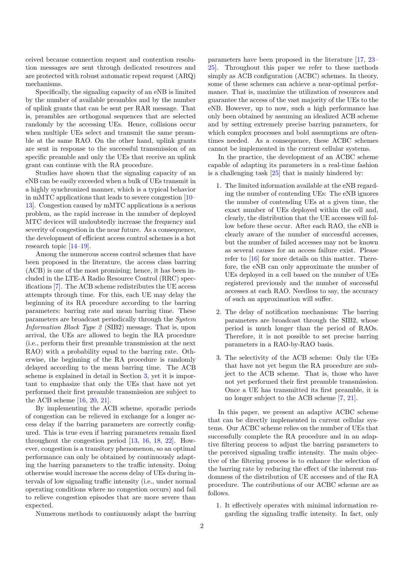ceived because connection request and contention resolution messages are sent through dedicated resources and are protected with robust automatic repeat request (ARQ) mechanisms.

Specifically, the signaling capacity of an eNB is limited by the number of available preambles and by the number of uplink grants that can be sent per RAR message. That is, preambles are orthogonal sequences that are selected randomly by the accessing UEs. Hence, collisions occur when multiple UEs select and transmit the same preamble at the same RAO. On the other hand, uplink grants are sent in response to the successful transmission of an specific preamble and only the UEs that receive an uplink grant can continue with the RA procedure.

Studies have shown that the signaling capacity of an eNB can be easily exceeded when a bulk of UEs transmit in a highly synchronized manner, which is a typical behavior in mMTC applications that leads to severe congestion [\[10–](#page-15-8) [13\]](#page-15-9). Congestion caused by mMTC applications is a serious problem, as the rapid increase in the number of deployed MTC devices will undoubtedly increase the frequency and severity of congestion in the near future. As a consequence, the development of efficient access control schemes is a hot research topic [\[14–](#page-15-10)[19\]](#page-15-11).

Among the numerous access control schemes that have been proposed in the literature, the access class barring (ACB) is one of the most promising; hence, it has been included in the LTE-A Radio Resource Control (RRC) specifications [\[7\]](#page-15-6). The ACB scheme redistributes the UE access attempts through time. For this, each UE may delay the beginning of its RA procedure according to the barring parameters: barring rate and mean barring time. These parameters are broadcast periodically through the System Information Block Type 2 (SIB2) message. That is, upon arrival, the UEs are allowed to begin the RA procedure (i.e., perform their first preamble transmission at the next RAO) with a probability equal to the barring rate. Otherwise, the beginning of the RA procedure is randomly delayed according to the mean barring time. The ACB scheme is explained in detail in Section [3,](#page-4-0) yet it is important to emphasize that only the UEs that have not yet performed their first preamble transmission are subject to the ACB scheme [\[16,](#page-15-12) [20,](#page-15-13) [21\]](#page-15-14).

By implementing the ACB scheme, sporadic periods of congestion can be relieved in exchange for a longer access delay if the barring parameters are correctly configured. This is true even if barring parameters remain fixed throughout the congestion period [\[13,](#page-15-9) [16,](#page-15-12) [18,](#page-15-15) [22\]](#page-15-16). However, congestion is a transitory phenomenon, so an optimal performance can only be obtained by continuously adapting the barring parameters to the traffic intensity. Doing otherwise would increase the access delay of UEs during intervals of low signaling traffic intensity (i.e., under normal operating conditions where no congestion occurs) and fail to relieve congestion episodes that are more severe than expected.

Numerous methods to continuously adapt the barring

parameters have been proposed in the literature [\[17,](#page-15-17) [23–](#page-15-18) [25\]](#page-16-0). Throughout this paper we refer to these methods simply as ACB configuration (ACBC) schemes. In theory, some of these schemes can achieve a near-optimal performance. That is, maximize the utilization of resources and guarantee the access of the vast majority of the UEs to the eNB. However, up to now, such a high performance has only been obtained by assuming an idealized ACB scheme and by setting extremely precise barring parameters, for which complex processes and bold assumptions are oftentimes needed. As a consequence, these ACBC schemes cannot be implemented in the current cellular systems.

In the practice, the development of an ACBC scheme capable of adapting its parameters in a real-time fashion is a challenging task [\[25\]](#page-16-0) that is mainly hindered by:

- 1. The limited information available at the eNB regarding the number of contending UEs: The eNB ignores the number of contending UEs at a given time, the exact number of UEs deployed within the cell and, clearly, the distribution that the UE accesses will follow before these occur. After each RAO, the eNB is clearly aware of the number of successful accesses, but the number of failed accesses may not be known as several causes for an access failure exist. Please refer to [\[16\]](#page-15-12) for more details on this matter. Therefore, the eNB can only approximate the number of UEs deployed in a cell based on the number of UEs registered previously and the number of successful accesses at each RAO. Needless to say, the accuracy of such an approximation will suffer.
- 2. The delay of notification mechanisms: The barring parameters are broadcast through the SIB2, whose period is much longer than the period of RAOs. Therefore, it is not possible to set precise barring parameters in a RAO-by-RAO basis.
- 3. The selectivity of the ACB scheme: Only the UEs that have not yet begun the RA procedure are subject to the ACB scheme. That is, those who have not yet performed their first preamble transmission. Once a UE has transmitted its first preamble, it is no longer subject to the ACB scheme [\[7,](#page-15-6) [21\]](#page-15-14).

In this paper, we present an adaptive ACBC scheme that can be directly implemented in current cellular systems. Our ACBC scheme relies on the number of UEs that successfully complete the RA procedure and in an adaptive filtering process to adjust the barring parameters to the perceived signaling traffic intensity. The main objective of the filtering process is to enhance the selection of the barring rate by reducing the effect of the inherent randomness of the distribution of UE accesses and of the RA procedure. The contributions of our ACBC scheme are as follows.

1. It effectively operates with minimal information regarding the signaling traffic intensity. In fact, only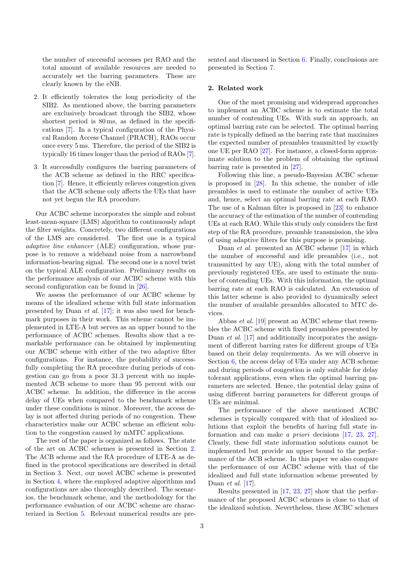the number of successful accesses per RAO and the total amount of available resources are needed to accurately set the barring parameters. These are clearly known by the eNB.

- 2. It efficiently tolerates the long periodicity of the SIB2. As mentioned above, the barring parameters are exclusively broadcast through the SIB2, whose shortest period is 80 ms, as defined in the specifications [\[7\]](#page-15-6). In a typical configuration of the Physical Random Access Channel (PRACH), RAOs occur once every 5 ms. Therefore, the period of the SIB2 is typically 16 times longer than the period of RAOs [\[7\]](#page-15-6).
- 3. It successfully configures the barring parameters of the ACB scheme as defined in the RRC specification [\[7\]](#page-15-6). Hence, it efficiently relieves congestion given that the ACB scheme only affects the UEs that have not yet begun the RA procedure.

Our ACBC scheme incorporates the simple and robust least-mean-square (LMS) algorithm to continuously adapt the filter weights. Concretely, two different configurations of the LMS are considered. The first one is a typical adaptive line enhancer (ALE) configuration, whose purpose is to remove a wideband noise from a narrowband information-bearing signal. The second one is a novel twist on the typical ALE configuration. Preliminary results on the performance analysis of our ACBC scheme with this second configuration can be found in [\[26\]](#page-16-1).

We assess the performance of our ACBC scheme by means of the idealized scheme with full state information presented by Duan et al. [\[17\]](#page-15-17); it was also used for benchmark purposes in their work. This scheme cannot be implemented in LTE-A but serves as an upper bound to the performance of ACBC schemes. Results show that a remarkable performance can be obtained by implementing our ACBC scheme with either of the two adaptive filter configurations. For instance, the probability of successfully completing the RA procedure during periods of congestion can go from a poor 31.3 percent with no implemented ACB scheme to more than 95 percent with our ACBC scheme. In addition, the difference in the access delay of UEs when compared to the benchmark scheme under these conditions is minor. Moreover, the access delay is not affected during periods of no congestion. These characteristics make our ACBC scheme an efficient solution to the congestion caused by mMTC applications.

The rest of the paper is organized as follows. The state of the art on ACBC schemes is presented in Section [2.](#page-3-0) The ACB scheme and the RA procedure of LTE-A as defined in the protocol specifications are described in detail in Section [3.](#page-4-0) Next, our novel ACBC scheme is presented in Section [4,](#page-5-0) where the employed adaptive algorithms and configurations are also thoroughly described. The scenarios, the benchmark scheme, and the methodology for the performance evaluation of our ACBC scheme are characterized in Section [5.](#page-8-0) Relevant numerical results are presented and discussed in Section [6.](#page-10-0) Finally, conclusions are presented in Section [7.](#page-15-19)

#### <span id="page-3-0"></span>2. Related work

One of the most promising and widespread approaches to implement an ACBC scheme is to estimate the total number of contending UEs. With such an approach, an optimal barring rate can be selected. The optimal barring rate is typically defined as the barring rate that maximizes the expected number of preambles transmitted by exactly one UE per RAO [\[27\]](#page-16-2). For instance, a closed-form approximate solution to the problem of obtaining the optimal barring rate is presented in [\[27\]](#page-16-2).

Following this line, a pseudo-Bayesian ACBC scheme is proposed in [\[28\]](#page-16-3). In this scheme, the number of idle preambles is used to estimate the number of active UEs and, hence, select an optimal barring rate at each RAO. The use of a Kalman filter is proposed in [\[23\]](#page-15-18) to enhance the accuracy of the estimation of the number of contending UEs at each RAO. While this study only considers the first step of the RA procedure, preamble transmission, the idea of using adaptive filters for this purpose is promising.

Duan et al. presented an ACBC scheme [\[17\]](#page-15-17) in which the number of successful and idle preambles (i.e., not transmitted by any UE), along with the total number of previously registered UEs, are used to estimate the number of contending UEs. With this information, the optimal barring rate at each RAO is calculated. An extension of this latter scheme is also provided to dynamically select the number of available preambles allocated to MTC devices.

Abbas et al. [\[19\]](#page-15-11) present an ACBC scheme that resembles the ACBC scheme with fixed preambles presented by Duan et al. [\[17\]](#page-15-17) and additionally incorporates the assignment of different barring rates for different groups of UEs based on their delay requirements. As we will observe in Section [6,](#page-10-0) the access delay of UEs under any ACB scheme and during periods of congestion is only suitable for delay tolerant applications, even when the optimal barring parameters are selected. Hence, the potential delay gains of using different barring parameters for different groups of UEs are minimal.

The performance of the above mentioned ACBC schemes is typically compared with that of idealized solutions that exploit the benefits of having full state information and can make a priori decisions [\[17,](#page-15-17) [23,](#page-15-18) [27\]](#page-16-2). Clearly, these full state information solutions cannot be implemented but provide an upper bound to the performance of the ACB scheme. In this paper we also compare the performance of our ACBC scheme with that of the idealized and full state information scheme presented by Duan et al. [\[17\]](#page-15-17).

Results presented in [\[17,](#page-15-17) [23,](#page-15-18) [27\]](#page-16-2) show that the performance of the proposed ACBC schemes is close to that of the idealized solution. Nevertheless, these ACBC schemes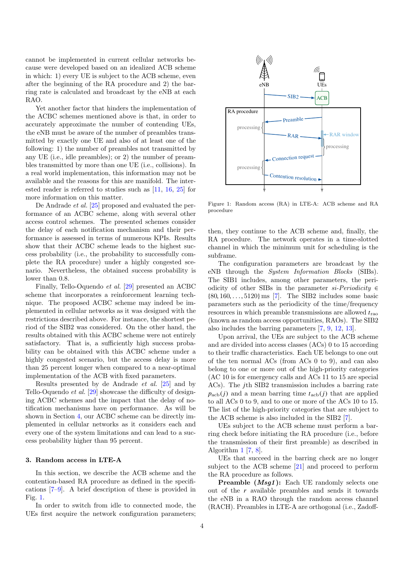cannot be implemented in current cellular networks because were developed based on an idealized ACB scheme in which: 1) every UE is subject to the ACB scheme, even after the beginning of the RA procedure and 2) the barring rate is calculated and broadcast by the eNB at each RAO.

Yet another factor that hinders the implementation of the ACBC schemes mentioned above is that, in order to accurately approximate the number of contending UEs, the eNB must be aware of the number of preambles transmitted by exactly one UE and also of at least one of the following: 1) the number of preambles not transmitted by any UE (i.e., idle preambles); or 2) the number of preambles transmitted by more than one UE (i.e., collisions). In a real world implementation, this information may not be available and the reasons for this are manifold. The interested reader is referred to studies such as [\[11,](#page-15-20) [16,](#page-15-12) [25\]](#page-16-0) for more information on this matter.

De Andrade et al. [\[25\]](#page-16-0) proposed and evaluated the performance of an ACBC scheme, along with several other access control schemes. The presented schemes consider the delay of each notification mechanism and their performance is assessed in terms of numerous KPIs. Results show that their ACBC scheme leads to the highest success probability (i.e., the probability to successfully complete the RA procedure) under a highly congested scenario. Nevertheless, the obtained success probability is lower than 0.8.

Finally, Tello-Oquendo et al. [\[29\]](#page-16-4) presented an ACBC scheme that incorporates a reinforcement learning technique. The proposed ACBC scheme may indeed be implemented in cellular networks as it was designed with the restrictions described above. For instance, the shortest period of the SIB2 was considered. On the other hand, the results obtained with this ACBC scheme were not entirely satisfactory. That is, a sufficiently high success probability can be obtained with this ACBC scheme under a highly congested scenario, but the access delay is more than 25 percent longer when compared to a near-optimal implementation of the ACB with fixed parameters. UES first according to the network configuration and the network configuration and the network configuration parameters;  $\frac{1}{2}$  ( $\frac{1}{2}$  ( $\frac{1}{2}$  ( $\frac{1}{2}$  ( $\frac{1}{2}$  ( $\frac{1}{2}$  ( $\frac{1}{2}$  ( $\frac{1}{2}$  ( $\frac{1}{2}$  (

Results presented by de Andrade et al. [\[25\]](#page-16-0) and by Tello-Oquendo et al. [\[29\]](#page-16-4) showcase the difficulty of designing ACBC schemes and the impact that the delay of notification mechanisms have on performance. As will be shown in Section [4,](#page-5-0) our ACBC scheme can be directly implemented in cellular networks as it considers each and every one of the system limitations and can lead to a success probability higher than 95 percent.

#### <span id="page-4-0"></span>3. Random access in LTE-A

In this section, we describe the ACB scheme and the contention-based RA procedure as defined in the specifications [\[7–](#page-15-6)[9\]](#page-15-7). A brief description of these is provided in Fig. [1.](#page-4-1)

In order to switch from idle to connected mode, the



<span id="page-4-1"></span>Figure 1: Random access (RA) in LTE-A: ACB scheme and RA procedure

then, they continue to the ACB scheme and, finally, the RA procedure. The network operates in a time-slotted channel in which the minimum unit for scheduling is the subframe.

The configuration parameters are broadcast by the eNB through the *System Information Blocks* (SIBs). The SIB1 includes, among other parameters, the periodicity of other SIBs in the parameter si-Periodicity  $\in$ {80, <sup>160</sup>, . . ., <sup>5120</sup>} ms [\[7\]](#page-15-6). The SIB2 includes some basic parameters such as the periodicity of the time/frequency resources in which preamble transmissions are allowed *t*rao (known as random access opportunities, RAOs). The SIB2 also includes the barring parameters [\[7,](#page-15-6) [9,](#page-15-7) [12,](#page-15-21) [13\]](#page-15-9).

Upon arrival, the UEs are subject to the ACB scheme and are divided into access classes (ACs) 0 to 15 according to their traffic characteristics. Each UE belongs to one out of the ten normal ACs (from ACs 0 to 9), and can also belong to one or more out of the high-priority categories (AC 10 is for emergency calls and ACs 11 to 15 are special ACs). The *j*th SIB2 transmission includes a barring rate  $p_{\rm acb}(j)$  and a mean barring time  $t_{\rm acb}(j)$  that are applied to all ACs 0 to 9, and to one or more of the ACs 10 to 15. The list of the high-priority categories that are subject to the ACB scheme is also included in the SIB2 [\[7\]](#page-15-6).

UEs subject to the ACB scheme must perform a barring check before initiating the RA procedure (i.e., before the transmission of their first preamble) as described in Algorithm [1](#page-5-1) [\[7,](#page-15-6) [8\]](#page-15-22).

UEs that succeed in the barring check are no longer subject to the ACB scheme [\[21\]](#page-15-14) and proceed to perform the RA procedure as follows.

Preamble (*Msg1*): Each UE randomly selects one out of the *r* available preambles and sends it towards the eNB in a RAO through the random access channel (RACH). Preambles in LTE-A are orthogonal (i.e., Zadoff-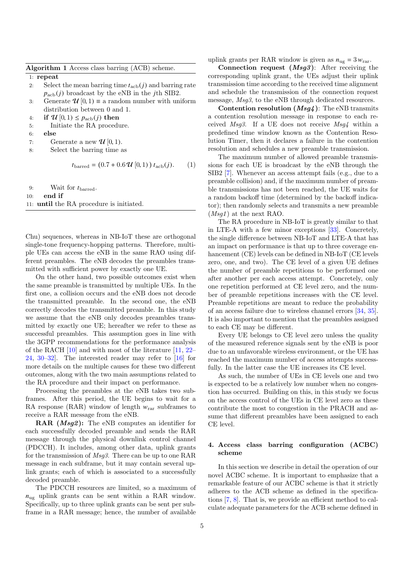| Algorithm 1 Access class barring (ACB) scheme. |  |  |  |  |  |  |
|------------------------------------------------|--|--|--|--|--|--|
|------------------------------------------------|--|--|--|--|--|--|

1: repeat

- 2: Select the mean barring time  $t_{\rm acb}(j)$  and barring rate  $p_{\rm ach}(i)$  broadcast by the eNB in the *j*th SIB2.
- 3: Generate  $\mathcal{U}[0,1) \equiv$  a random number with uniform distribution between 0 and 1.

4: **if**  $\mathcal{U}[0,1) \leq p_{\text{acb}}(j)$  then<br>5: Initiate the RA procedu

- 5: Initiate the RA procedure.
- 6: else
- 7: Generate a new  $\mathcal{U}[0, 1)$ .<br>8: Select the barring time a
- Select the barring time as

$$
t_{\text{barred}} = (0.7 + 0.6 \, \mathcal{U} \, [0, 1) \, t_{\text{acb}}(j). \qquad (1)
$$

9: Wait for *t*barred.

```
10: end if
```

```
11: until the RA procedure is initiated.
```
Chu) sequences, whereas in NB-IoT these are orthogonal single-tone frequency-hopping patterns. Therefore, multiple UEs can access the eNB in the same RAO using different preambles. The eNB decodes the preambles transmitted with sufficient power by exactly one UE.

On the other hand, two possible outcomes exist when the same preamble is transmitted by multiple UEs. In the first one, a collision occurs and the eNB does not decode the transmitted preamble. In the second one, the eNB correctly decodes the transmitted preamble. In this study we assume that the eNB only decodes preambles transmitted by exactly one UE; hereafter we refer to these as successful preambles. This assumption goes in line with the 3GPP recommendations for the performance analysis of the RACH [\[10\]](#page-15-8) and with most of the literature [\[11,](#page-15-20) [22–](#page-15-16) [24,](#page-16-5) [30](#page-16-6)[–32\]](#page-16-7). The interested reader may refer to [\[16\]](#page-15-12) for more details on the multiple causes for these two different outcomes, along with the two main assumptions related to the RA procedure and their impact on performance.

Processing the preambles at the eNB takes two subframes. After this period, the UE begins to wait for a RA response (RAR) window of length  $w_{\text{rar}}$  subframes to receive a RAR message from the eNB.

RAR (Msg2): The eNB computes an identifier for each successfully decoded preamble and sends the RAR message through the physical downlink control channel (PDCCH). It includes, among other data, uplink grants for the transmission of Msg3. There can be up to one RAR message in each subframe, but it may contain several uplink grants; each of which is associated to a successfully decoded preamble.

The PDCCH resources are limited, so a maximum of  $n_{\text{up}}$  uplink grants can be sent within a RAR window. Specifically, up to three uplink grants can be sent per subframe in a RAR message; hence, the number of available

uplink grants per RAR window is given as  $n_{\text{ug}} = 3 w_{\text{rar}}$ .

**Connection request**  $(Msg3)$ : After receiving the corresponding uplink grant, the UEs adjust their uplink transmission time according to the received time alignment and schedule the transmission of the connection request message,  $Msq3$ , to the eNB through dedicated resources.

Contention resolution  $(Msq4)$ : The eNB transmits a contention resolution message in response to each received Msg3. If a UE does not receive Msg4 within a predefined time window known as the Contention Resolution Timer, then it declares a failure in the contention resolution and schedules a new preamble transmission.

The maximum number of allowed preamble transmissions for each UE is broadcast by the eNB through the SIB2 [\[7\]](#page-15-6). Whenever an access attempt fails (e.g., due to a preamble collision) and, if the maximum number of preamble transmissions has not been reached, the UE waits for a random backoff time (determined by the backoff indicator); then randomly selects and transmits a new preamble  $(Msq1)$  at the next RAO.

The RA procedure in NB-IoT is greatly similar to that in LTE-A with a few minor exceptions [\[33\]](#page-16-8). Concretely, the single difference between NB-IoT and LTE-A that has an impact on performance is that up to three coverage enhancement (CE) levels can be defined in NB-IoT (CE levels zero, one, and two). The CE level of a given UE defines the number of preamble repetitions to be performed one after another per each access attempt. Concretely, only one repetition performed at CE level zero, and the number of preamble repetitions increases with the CE level. Preamble repetitions are meant to reduce the probability of an access failure due to wireless channel errors [\[34,](#page-16-9) [35\]](#page-16-10). It is also important to mention that the preambles assigned to each CE may be different.

Every UE belongs to CE level zero unless the quality of the measured reference signals sent by the eNB is poor due to an unfavorable wireless environment, or the UE has reached the maximum number of access attempts successfully. In the latter case the UE increases its CE level.

As such, the number of UEs in CE levels one and two is expected to be a relatively low number when no congestion has occurred. Building on this, in this study we focus on the access control of the UEs in CE level zero as these contribute the most to congestion in the PRACH and assume that different preambles have been assigned to each CE level.

## <span id="page-5-0"></span>4. Access class barring configuration (ACBC) scheme

In this section we describe in detail the operation of our novel ACBC scheme. It is important to emphasize that a remarkable feature of our ACBC scheme is that it strictly adheres to the ACB scheme as defined in the specifications [\[7,](#page-15-6) [8\]](#page-15-22). That is, we provide an efficient method to calculate adequate parameters for the ACB scheme defined in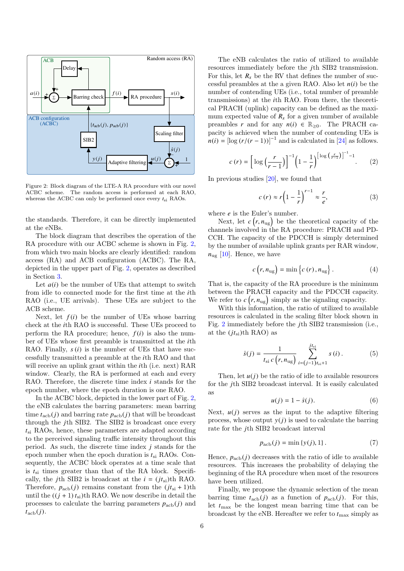

<span id="page-6-0"></span>Figure 2: Block diagram of the LTE-A RA procedure with our novel ACBC scheme. The random access is performed at each RAO, whereas the ACBC can only be performed once every  $t_{si}$  RAOs.

the standards. Therefore, it can be directly implemented at the eNBs.

The block diagram that describes the operation of the RA procedure with our ACBC scheme is shown in Fig. [2,](#page-6-0) from which two main blocks are clearly identified: random access (RA) and ACB configuration (ACBC). The RA, depicted in the upper part of Fig. [2,](#page-6-0) operates as described in Section [3.](#page-4-0)

Let  $a(i)$  be the number of UEs that attempt to switch from idle to connected mode for the first time at the *i*th RAO (i.e., UE arrivals). These UEs are subject to the ACB scheme.

Next, let  $f(i)$  be the number of UEs whose barring check at the *i*th RAO is successful. These UEs proceed to perform the RA procedure; hence,  $f(i)$  is also the number of UEs whose first preamble is transmitted at the *i*th RAO. Finally, *s* (*i*) is the number of UEs that have successfully transmitted a preamble at the *i*th RAO and that will receive an uplink grant within the *i*th (i.e. next) RAR window. Clearly, the RA is performed at each and every RAO. Therefore, the discrete time index *i* stands for the epoch number, where the epoch duration is one RAO.

In the ACBC block, depicted in the lower part of Fig. [2,](#page-6-0) the eNB calculates the barring parameters: mean barring time  $t_{\rm acb}(j)$  and barring rate  $p_{\rm acb}(j)$  that will be broadcast through the *j*th SIB2. The SIB2 is broadcast once every *t*si RAOs, hence, these parameters are adapted according to the perceived signaling traffic intensity throughout this period. As such, the discrete time index *j* stands for the epoch number when the epoch duration is *t*si RAOs. Consequently, the ACBC block operates at a time scale that is *t*si times greater than that of the RA block. Specifically, the *j*th SIB2 is broadcast at the  $i = (jt_{si})$ th RAO. Therefore,  $p_{\rm acb}(j)$  remains constant from the  $(jt_{\rm si} + 1)$ th until the  $((j + 1) t_{si})$ th RAO. We now describe in detail the processes to calculate the barring parameters  $p_{\rm acb}(j)$  and  $t_{\rm acb}(j)$ .

The eNB calculates the ratio of utilized to available resources immediately before the *j*th SIB2 transmission. For this, let  $R_s$  be the RV that defines the number of successful preambles at the a given RAO. Also let  $n(i)$  be the number of contending UEs (i.e., total number of preamble transmissions) at the *i*th RAO. From there, the theoretical PRACH (uplink) capacity can be defined as the maximum expected value of  $R_s$  for a given number of available preambles *r* and for any  $n(i) \in \mathbb{R}_{\geq 0}$ . The PRACH capacity is achieved when the number of contending UEs is  $n(i) = [\log (r/(r-1))]^{-1}$  and is calculated in [\[24\]](#page-16-5) as follows.

$$
c(r) = \left[ \log \left( \frac{r}{r-1} \right) \right]^{-1} \left( 1 - \frac{1}{r} \right)^{\left[ \log \left( \frac{r}{r-1} \right) \right]^{-1} - 1}.
$$
 (2)

In previous studies [\[20\]](#page-15-13), we found that

$$
c(r) \approx r \left(1 - \frac{1}{r}\right)^{r-1} \approx \frac{r}{e},\tag{3}
$$

where *e* is the Euler's number.

Next, let  $c(r, n_{\text{ug}})$  be the theoretical capacity of the newsly in the BA procedure: PBACH and PD. channels involved in the RA procedure: PRACH and PD-CCH. The capacity of the PDCCH is simply determined by the number of available uplink grants per RAR window,  $n_{\text{ug}}$  [\[10\]](#page-15-8). Hence, we have

$$
c(r, n_{\text{ug}}) = \min \left\{ c(r), n_{\text{ug}} \right\}. \tag{4}
$$

That is, the capacity of the RA procedure is the minimum between the PRACH capacity and the PDCCH capacity. We refer to  $c(r, n_{\text{ug}})$  simply as the signaling capacity.<br>With this information, the ratio of utilized to avail

With this information, the ratio of utilized to available resources is calculated in the scaling filter block shown in Fig. [2](#page-6-0) immediately before the *j*th SIB2 transmission (i.e., at the (*jt*si)th RAO) as

<span id="page-6-1"></span>
$$
\hat{s}(j) = \frac{1}{t_{\rm si} \ c \left(r, n_{\rm ug}\right)} \sum_{i = (j-1)t_{\rm si}+1}^{j t_{\rm si}} s(i). \tag{5}
$$

Then, let  $u(j)$  be the ratio of idle to available resources for the *j*th SIB2 broadcast interval. It is easily calculated as

<span id="page-6-2"></span>
$$
u(j) = 1 - \hat{s}(j). \tag{6}
$$

Next,  $u(j)$  serves as the input to the adaptive filtering process, whose output  $y(i)$  is used to calculate the barring rate for the *j*th SIB2 broadcast interval

$$
p_{\rm acb}(j) = \min \{y(j), 1\}.
$$
 (7)

Hence,  $p_{\rm acb}(j)$  decreases with the ratio of idle to available resources. This increases the probability of delaying the beginning of the RA procedure when most of the resources have been utilized.

Finally, we propose the dynamic selection of the mean barring time  $t_{\rm acb}(j)$  as a function of  $p_{\rm acb}(j)$ . For this, let *t*max be the longest mean barring time that can be broadcast by the eNB. Hereafter we refer to  $t_{\rm max}$  simply as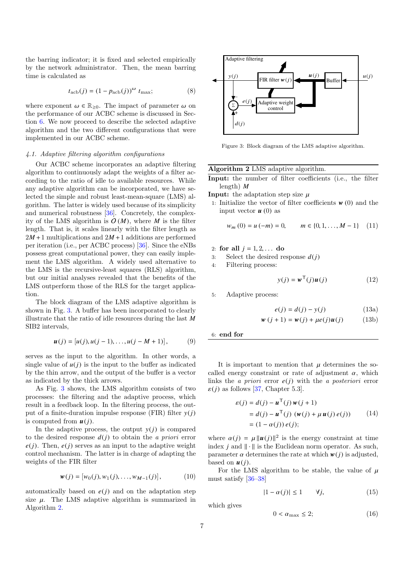the barring indicator; it is fixed and selected empirically by the network administrator. Then, the mean barring time is calculated as

$$
t_{\rm acb}(j) = (1 - p_{\rm acb}(j))^{\omega} t_{\rm max};\tag{8}
$$

where exponent  $\omega \in \mathbb{R}_{\geq 0}$ . The impact of parameter  $\omega$  on the performance of our ACBC scheme is discussed in Section [6.](#page-10-0) We now proceed to describe the selected adaptive algorithm and the two different configurations that were implemented in our ACBC scheme.

## 4.1. Adaptive filtering algorithm configurations

Our ACBC scheme incorporates an adaptive filtering algorithm to continuously adapt the weights of a filter according to the ratio of idle to available resources. While any adaptive algorithm can be incorporated, we have selected the simple and robust least-mean-square (LMS) algorithm. The latter is widely used because of its simplicity and numerical robustness [\[36\]](#page-16-11). Concretely, the complexity of the LMS algorithm is  $O(M)$ , where *M* is the filter length. That is, it scales linearly with the filter length as 2*M* +1 multiplications and 2*M* +1 additions are performed per iteration (i.e., per ACBC process) [\[36\]](#page-16-11). Since the eNBs possess great computational power, they can easily implement the LMS algorithm. A widely used alternative to the LMS is the recursive-least squares (RLS) algorithm, but our initial analyses revealed that the benefits of the LMS outperform those of the RLS for the target application.

The block diagram of the LMS adaptive algorithm is shown in Fig. [3.](#page-7-0) A buffer has been incorporated to clearly illustrate that the ratio of idle resources during the last *M* SIB2 intervals,

$$
\mathbf{u}(j) = [u(j), u(j-1), \dots, u(j-M+1)], \tag{9}
$$

serves as the input to the algorithm. In other words, a single value of  $u(j)$  is the input to the buffer as indicated by the thin arrow, and the output of the buffer is a vector as indicated by the thick arrows.

As Fig. [3](#page-7-0) shows, the LMS algorithm consists of two processes: the filtering and the adaptive process, which result in a feedback loop. In the filtering process, the output of a finite-duration impulse response (FIR) filter  $y(j)$ is computed from  $u(j)$ .

In the adaptive process, the output  $y(i)$  is compared to the desired response  $d(j)$  to obtain the a priori error  $e(j)$ . Then,  $e(j)$  serves as an input to the adaptive weight control mechanism. The latter is in charge of adapting the weights of the FIR filter

$$
\mathbf{w}(j) = [w_0(j), w_1(j), \dots, w_{M-1}(j)], \qquad (10)
$$

automatically based on  $e(j)$  and on the adaptation step size  $\mu$ . The LMS adaptive algorithm is summarized in Algorithm [2.](#page-7-1)



<span id="page-7-0"></span>Figure 3: Block diagram of the LMS adaptive algorithm.

Algorithm 2 LMS adaptive algorithm.

Input: the number of filter coefficients (i.e., the filter length) *M*

**Input:** the adaptation step size  $\mu$ 

1: Initialize the vector of filter coefficients  $w(0)$  and the input vector  $u(0)$  as

$$
w_m(0) = u(-m) = 0, \qquad m \in \{0, 1, \dots, M-1\} \quad (11)
$$

- 2: **for all**  $j = 1, 2, ...$  **do**<br>3: Select the desired re
- Select the desired response  $d(i)$

4: Filtering process:

<span id="page-7-3"></span><span id="page-7-2"></span>
$$
y(j) = \boldsymbol{w}^{\mathsf{T}}(j)\boldsymbol{u}(j) \tag{12}
$$

5: Adaptive process:

<span id="page-7-4"></span>
$$
e(j) = d(j) - y(j) \tag{13a}
$$

$$
\mathbf{w}(j+1) = \mathbf{w}(j) + \mu e(j)\mathbf{u}(j) \tag{13b}
$$

<span id="page-7-1"></span>6: end for

It is important to mention that  $\mu$  determines the socalled energy constraint or rate of adjustment  $\alpha$ , which links the a priori error *e*(*j*) with the a posteriori error  $\varepsilon(j)$  as follows [\[37,](#page-16-12) Chapter 5.3].

$$
\varepsilon(j) = d(j) - \mathbf{u}^{\mathrm{T}}(j) \mathbf{w}(j+1)
$$
  
=  $d(j) - \mathbf{u}^{\mathrm{T}}(j) (\mathbf{w}(j) + \mu \mathbf{u}(j) e(j))$  (14)  
=  $(1 - \alpha(j)) e(j);$ 

where  $\alpha(j) = \mu ||u(j)||^2$  is the energy constraint at time<br>index *i* and l, l is the Euclidean norm operator. As such index  $j$  and  $\|\cdot\|$  is the Euclidean norm operator. As such, parameter  $\alpha$  determines the rate at which  $w(j)$  is adjusted, based on  $u(i)$ .

For the LMS algorithm to be stable, the value of  $\mu$ must satisfy [\[36](#page-16-11)[–38\]](#page-16-13)

$$
|1 - \alpha(j)| \le 1 \qquad \forall j,
$$
 (15)

which gives

$$
0 < \alpha_{\text{max}} \le 2; \tag{16}
$$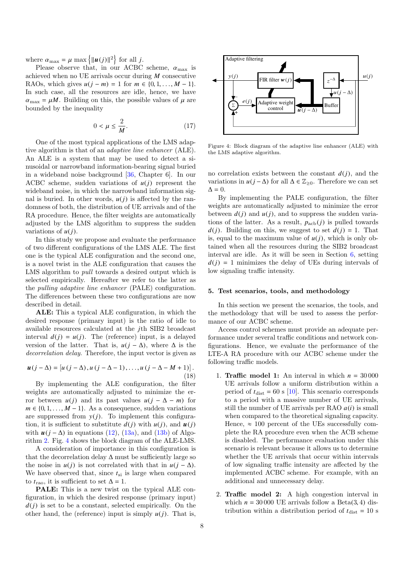where  $\alpha_{\text{max}} = \mu \max \{ ||u(j)||^2 \}$  for all *j*.<br>Please observe that in our ACBC

Please observe that, in our ACBC scheme,  $\alpha_{\text{max}}$  is achieved when no UE arrivals occur during *M* consecutive RAOs, which gives  $u(j - m) = 1$  for  $m \in \{0, 1, ..., M - 1\}$ . In such case, all the resources are idle, hence, we have  $\alpha_{\text{max}} = \mu M$ . Building on this, the possible values of  $\mu$  are bounded by the inequality

<span id="page-8-2"></span>
$$
0 < \mu \le \frac{2}{M}.\tag{17}
$$

One of the most typical applications of the LMS adaptive algorithm is that of an adaptive line enhancer (ALE). An ALE is a system that may be used to detect a sinusoidal or narrowband information-bearing signal buried in a wideband noise background [\[36,](#page-16-11) Chapter 6]. In our ACBC scheme, sudden variations of *u*(*j*) represent the wideband noise, in which the narrowband information signal is buried. In other words,  $u(j)$  is affected by the randomness of both, the distribution of UE arrivals and of the RA procedure. Hence, the filter weights are automatically adjusted by the LMS algorithm to suppress the sudden variations of  $u(j)$ .

In this study we propose and evaluate the performance of two different configurations of the LMS ALE. The first one is the typical ALE configuration and the second one, is a novel twist in the ALE configuration that causes the LMS algorithm to *pull* towards a desired output which is selected empirically. Hereafter we refer to the latter as the pulling adaptive line enhancer (PALE) configuration. The differences between these two configurations are now described in detail.

ALE: This a typical ALE configuration, in which the desired response (primary input) is the ratio of idle to available resources calculated at the *j*th SIB2 broadcast interval  $d(j) = u(j)$ . The (reference) input, is a delayed version of the latter. That is,  $u(j - \Delta)$ , where  $\Delta$  is the decorrelation delay. Therefore, the input vector is given as

$$
\boldsymbol{u}(j-\Delta) = \left[u\,(j-\Delta), u\,(j-\Delta-1), \ldots, u\,(j-\Delta-M+1)\right].\tag{18}
$$

By implementing the ALE configuration, the filter weights are automatically adjusted to minimize the error between  $u(j)$  and its past values  $u(j - \Delta - m)$  for  $m \in \{0, 1, \ldots, M-1\}$ . As a consequence, sudden variations are suppressed from  $y(i)$ . To implement this configuration, it is sufficient to substitute  $d(j)$  with  $u(j)$ , and  $u(j)$ with  $u(j - \Delta)$  in equations [\(12\)](#page-7-2), [\(13a\)](#page-7-3), and [\(13b\)](#page-7-4) of Algorithm [2.](#page-7-1) Fig. [4](#page-8-1) shows the block diagram of the ALE-LMS.

A consideration of importance in this configuration is that the decorrelation delay  $\Delta$  must be sufficiently large so the noise in  $u(j)$  is not correlated with that in  $u(j - \Delta)$ . We have observed that, since  $t_{si}$  is large when compared to  $t_{\text{rao}}$ , it is sufficient to set  $\Delta = 1$ .

PALE: This is a new twist on the typical ALE configuration, in which the desired response (primary input)  $d(j)$  is set to be a constant, selected empirically. On the other hand, the (reference) input is simply  $u(j)$ . That is,



<span id="page-8-1"></span>Figure 4: Block diagram of the adaptive line enhancer (ALE) with the LMS adaptive algorithm.

no correlation exists between the constant  $d(j)$ , and the variations in  $u(j - \Delta)$  for all  $\Delta \in \mathbb{Z}_{\geq 0}$ . Therefore we can set  $\Lambda = 0$ .

By implementing the PALE configuration, the filter weights are automatically adjusted to minimize the error between  $d(j)$  and  $u(j)$ , and to suppress the sudden variations of the latter. As a result,  $p_{\rm ach}(j)$  is pulled towards  $d(j)$ . Building on this, we suggest to set  $d(j) = 1$ . That is, equal to the maximum value of  $u(j)$ , which is only obtained when all the resources during the SIB2 broadcast interval are idle. As it will be seen in Section [6,](#page-10-0) setting  $d(j) = 1$  minimizes the delay of UEs during intervals of low signaling traffic intensity.

#### <span id="page-8-0"></span>5. Test scenarios, tools, and methodology

In this section we present the scenarios, the tools, and the methodology that will be used to assess the performance of our ACBC scheme.

Access control schemes must provide an adequate performance under several traffic conditions and network configurations. Hence, we evaluate the performance of the LTE-A RA procedure with our ACBC scheme under the following traffic models.

- 1. **Traffic model 1:** An interval in which  $n = 30000$ UE arrivals follow a uniform distribution within a period of  $t_{\text{dist}} = 60$  s [\[10\]](#page-15-8). This scenario corresponds to a period with a massive number of UE arrivals, still the number of UE arrivals per RAO *a*(*i*) is small when compared to the theoretical signaling capacity. Hence,  $\approx 100$  percent of the UEs successfully complete the RA procedure even when the ACB scheme is disabled. The performance evaluation under this scenario is relevant because it allows us to determine whether the UE arrivals that occur within intervals of low signaling traffic intensity are affected by the implemented ACBC scheme. For example, with an additional and unnecessary delay.
- 2. Traffic model 2: A high congestion interval in which  $n = 30000$  UE arrivals follow a Beta(3, 4) distribution within a distribution period of  $t_{\text{dist}} = 10$  s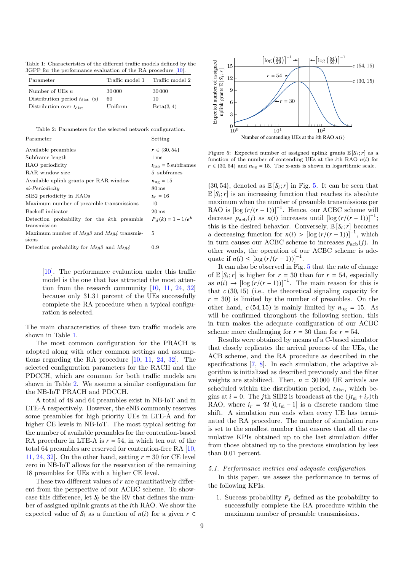<span id="page-9-0"></span>Table 1: Characteristics of the different traffic models defined by the 3GPP for the performance evaluation of the RA procedure [\[10\]](#page-15-8).

| Parameter                                 | Traffic model 1 | Traffic model 2 |
|-------------------------------------------|-----------------|-----------------|
| Number of UEs $n$                         | 30 000          | 30 000          |
| Distribution period $t_{\text{dist}}$ (s) | 60              | 10              |
| Distribution over $t_{\text{dist}}$       | Uniform         | Beta(3, 4)      |

<span id="page-9-1"></span>Table 2: Parameters for the selected network configuration.

| Parameter                                                              | Setting                     |
|------------------------------------------------------------------------|-----------------------------|
| Available preambles                                                    | $r \in \{30, 54\}$          |
| Subframe length                                                        | 1 <sub>ms</sub>             |
| RAO periodicity                                                        | $t_{\rm raO} = 5$ subframes |
| RAR window size                                                        | 5 subframes                 |
| Available uplink grants per RAR window                                 | $n_{\text{ue}} = 15$        |
| $si\text{-}Periodicity$                                                | $80 \,\mathrm{ms}$          |
| SIB <sub>2</sub> periodicity in RAOs                                   | $t_{\rm si} = 16$           |
| Maximum number of preamble transmissions                               | 10                          |
| Backoff indicator                                                      | $20 \,\mathrm{ms}$          |
| Detection probability for the k <sup>th</sup> preamble<br>transmission | $P_d(k) = 1 - 1/e^k$        |
| Maximum number of $Msg3$ and $Msg4$ transmis-<br>sions                 | 5                           |
| Detection probability for $Msq3$ and $Msq4$                            | 0.9                         |

[\[10\]](#page-15-8). The performance evaluation under this traffic model is the one that has attracted the most attention from the research community [\[10,](#page-15-8) [11,](#page-15-20) [24,](#page-16-5) [32\]](#page-16-7) because only 31.31 percent of the UEs successfully complete the RA procedure when a typical configuration is selected.

The main characteristics of these two traffic models are shown in Table [1.](#page-9-0)

The most common configuration for the PRACH is adopted along with other common settings and assumptions regarding the RA procedure [\[10,](#page-15-8) [11,](#page-15-20) [24,](#page-16-5) [32\]](#page-16-7). The selected configuration parameters for the RACH and the PDCCH, which are common for both traffic models are shown in Table [2.](#page-9-1) We assume a similar configuration for the NB-IoT PRACH and PDCCH.

A total of 48 and 64 preambles exist in NB-IoT and in LTE-A respectively. However, the eNB commonly reserves some preambles for high priority UEs in LTE-A and for higher CE levels in NB-IoT. The most typical setting for the number of available preambles for the contention-based RA procedure in LTE-A is  $r = 54$ , in which ten out of the total 64 preambles are reserved for contention-free RA [\[10,](#page-15-8) [11,](#page-15-20) [24,](#page-16-5) 32. On the other hand, setting  $r = 30$  for CE level zero in NB-IoT allows for the reservation of the remaining 18 preambles for UEs with a higher CE level.

These two different values of *r* are quantitatively different from the perspective of our ACBC scheme. To showcase this difference, let  $S_i$  be the RV that defines the number of assigned uplink grants at the *i*th RAO. We show the expected value of  $S_i$  as a function of  $n(i)$  for a given  $r \in$ 



<span id="page-9-2"></span>Figure 5: Expected number of assigned uplink grants  $\mathbb{E}[S_i; r]$  as a function of the number of contending UEs at the *i*th RAO  $n(i)$  for  $r \in \{30, 54\}$  and  $n_{\text{ug}} = 15.$  The x-axis is shown in logarithmic scale.

 $\{30, 54\}$ , denoted as  $\mathbb{E}[S_i; r]$  in Fig. [5.](#page-9-2) It can be seen that  $\mathbb{E}[S_i; r]$  is an increasing function that reaches its absolute  $\mathbb{E}[S_i; r]$  is an increasing function that reaches its absolute maximum when the number of preamble transmissions per RAO is  $[\log (r/(r-1))]^{-1}$ . Hence, our ACBC scheme will<br>decrease  $n_{-1}(i)$  as  $n(i)$  increases until  $[\log (r/(r-1))]^{-1}$ . decrease  $p_{\text{acb}}(j)$  as  $n(i)$  increases until  $[\log (r/(r-1))]^{-1}$ ;<br>this is the desired behavior. Conversely  $\mathbb{E}[S, r]$  becomes this is the desired behavior. Conversely,  $\mathbb{E}[S_i; r]$  becomes a decreasing function for  $n(i) > [\log (r/(r-1))]^{-1}$ , which<br>in turn causes our ACBC scheme to increases  $n_{\text{c}}(i)$ . In in turn causes our ACBC scheme to increases  $p_{\rm ach}(i)$ . In other words, the operation of our ACBC scheme is adequate if  $n(i) \leq [\log (r/(r-1))]^{-1}$ .<br>It can also be observed in Fig.

It can also be observed in Fig. [5](#page-9-2) that the rate of change of  $\mathbb{E}[S_i; r]$  is higher for  $r = 30$  than for  $r = 54$ , especially as  $n(i) \rightarrow [\log (r/(r-1))]^{-1}$ . The main reason for this is<br>that  $c(30.15)$  (i.e., the theoretical signaling capacity for that  $c(30, 15)$  (i.e., the theoretical signaling capacity for  $r = 30$ ) is limited by the number of preambles. On the other hand,  $c(54, 15)$  is mainly limited by  $n_{\text{ug}} = 15$ . As will be confirmed throughout the following section, this in turn makes the adequate configuration of our ACBC scheme more challenging for  $r = 30$  than for  $r = 54$ .

Results were obtained by means of a C-based simulator that closely replicates the arrival process of the UEs, the ACB scheme, and the RA procedure as described in the specifications [\[7,](#page-15-6) [8\]](#page-15-22). In each simulation, the adaptive algorithm is initialized as described previously and the filter weights are stabilized. Then, *n* = 30 000 UE arrivals are scheduled within the distribution period,  $t_{\text{dist}}$ , which begins at  $i = 0$ . The *j*th SIB2 is broadcast at the  $(jt_{si} + i_r)$ <sup>th</sup> RAO, where  $i_r = \mathcal{U}[0, t_{si} - 1]$  is a discrete random time shift. A simulation run ends when every UE has terminated the RA procedure. The number of simulation runs is set to the smallest number that ensures that all the cumulative KPIs obtained up to the last simulation differ from those obtained up to the previous simulation by less than 0.01 percent.

#### 5.1. Performance metrics and adequate configuration

In this paper, we assess the performance in terms of the following KPIs.

1. Success probability  $P_s$  defined as the probability to successfully complete the RA procedure within the maximum number of preamble transmissions.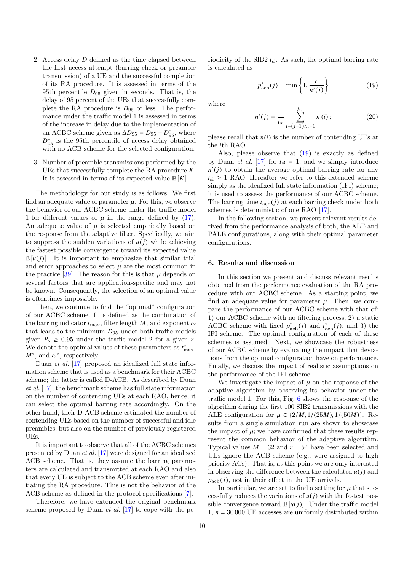- 2. Access delay *D* defined as the time elapsed between the first access attempt (barring check or preamble transmission) of a UE and the successful completion of its RA procedure. It is assessed in terms of the 95th percentile  $D_{95}$  given in seconds. That is, the delay of 95 percent of the UEs that successfully complete the RA procedure is  $D_{95}$  or less. The performance under the traffic model 1 is assessed in terms of the increase in delay due to the implementation of an ACBC scheme given as  $\Delta D_{95} = D_{95} - D_{95}^*$ , where  $D_{95}^*$  is the 95th percentile of access delay obtained with no ACB scheme for the selected configuration.
- 3. Number of preamble transmissions performed by the UEs that successfully complete the RA procedure *K*. It is assessed in terms of its expected value  $E[K]$ .

The methodology for our study is as follows. We first find an adequate value of parameter  $\mu$ . For this, we observe the behavior of our ACBC scheme under the traffic model 1 for different values of  $\mu$  in the range defined by [\(17\)](#page-8-2). An adequate value of  $\mu$  is selected empirically based on the response from the adaptive filter. Specifically, we aim to suppress the sudden variations of  $u(j)$  while achieving the fastest possible convergence toward its expected value  $\mathbb{E}[u(j)]$ . It is important to emphasize that similar trial and error approaches to select  $\mu$  are the most common in the practice  $[39]$ . The reason for this is that  $\mu$  depends on several factors that are application-specific and may not be known. Consequently, the selection of an optimal value is oftentimes impossible.

Then, we continue to find the "optimal" configuration of our ACBC scheme. It is defined as the combination of the barring indicator  $t_{\text{max}}$ , filter length *M*, and exponent  $\omega$ that leads to the minimum *D*<sup>95</sup> under both traffic models given  $P_s \geq 0.95$  under the traffic model 2 for a given *r*. We denote the optimal values of these parameters as  $t^*_{\text{max}}$ , *M*<sup>∗</sup>, and  $ω^*$ , respectively.<br>Duan *et al* [17] prope

Duan et al. [\[17\]](#page-15-17) proposed an idealized full state information scheme that is used as a benchmark for their ACBC scheme; the latter is called D-ACB. As described by Duan et al. [\[17\]](#page-15-17), the benchmark scheme has full state information on the number of contending UEs at each RAO, hence, it can select the optimal barring rate accordingly. On the other hand, their D-ACB scheme estimated the number of contending UEs based on the number of successful and idle preambles, but also on the number of previously registered UEs.

It is important to observe that all of the ACBC schemes presented by Duan et al. [\[17\]](#page-15-17) were designed for an idealized ACB scheme. That is, they assume the barring parameters are calculated and transmitted at each RAO and also that every UE is subject to the ACB scheme even after initiating the RA procedure. This is not the behavior of the ACB scheme as defined in the protocol specifications [\[7\]](#page-15-6).

Therefore, we have extended the original benchmark scheme proposed by Duan *et al.* [\[17\]](#page-15-17) to cope with the periodicity of the SIB2  $t_{si}$ . As such, the optimal barring rate is calculated as

<span id="page-10-1"></span>
$$
p_{\text{acb}}^*(j) = \min\left\{1, \frac{r}{n'(j)}\right\} \tag{19}
$$

where

$$
n'(j) = \frac{1}{t_{\rm si}} \sum_{i=(j-1)t_{\rm si}+1}^{jt_{\rm si}} n(i); \tag{20}
$$

please recall that  $n(i)$  is the number of contending UEs at the *i*th RAO.

Also, please observe that [\(19\)](#page-10-1) is exactly as defined by Duan *et al.* [\[17\]](#page-15-17) for  $t_{\rm si} = 1$ , and we simply introduce  $n'(j)$  to obtain the average optimal barring rate for any  $t_{\rm si} \geq 1$  RAO. Hereafter we refer to this extended scheme simply as the idealized full state information (IFI) scheme; it is used to assess the performance of our ACBC scheme. The barring time  $t_{\rm acb}(j)$  at each barring check under both schemes is deterministic of one RAO [\[17\]](#page-15-17).

In the following section, we present relevant results derived from the performance analysis of both, the ALE and PALE configurations, along with their optimal parameter configurations.

## <span id="page-10-0"></span>6. Results and discussion

In this section we present and discuss relevant results obtained from the performance evaluation of the RA procedure with our ACBC scheme. As a starting point, we find an adequate value for parameter  $\mu$ . Then, we compare the performance of our ACBC scheme with that of: 1) our ACBC scheme with no filtering process; 2) a static ACBC scheme with fixed  $p_{\text{acb}}^*(j)$  and  $t_{\text{acb}}^*(j)$ ; and 3) the IFI scheme. The optimal configuration of each of these schemes is assumed. Next, we showcase the robustness of our ACBC scheme by evaluating the impact that deviations from the optimal configuration have on performance. Finally, we discuss the impact of realistic assumptions on the performance of the IFI scheme.

We investigate the impact of  $\mu$  on the response of the adaptive algorithm by observing its behavior under the traffic model 1. For this, Fig. [6](#page-11-0) shows the response of the algorithm during the first 100 SIB2 transmissions with the ALE configuration for  $\mu \in \{2/M, 1/(25M), 1/(50M)\}$ . Results from a single simulation run are shown to showcase the impact of  $\mu$ ; we have confirmed that these results represent the common behavior of the adaptive algorithm. Typical values  $M = 32$  and  $r = 54$  have been selected and UEs ignore the ACB scheme (e.g., were assigned to high priority ACs). That is, at this point we are only interested in observing the difference between the calculated *u*(*j*) and  $p_{\rm ach}(j)$ , not in their effect in the UE arrivals.

In particular, we are set to find a setting for  $\mu$  that successfully reduces the variations of  $u(j)$  with the fastest possible convergence toward  $\mathbb{E}[u(j)]$ . Under the traffic model  $1, n = 30000 \text{ UE }$  accesses are uniformly distributed within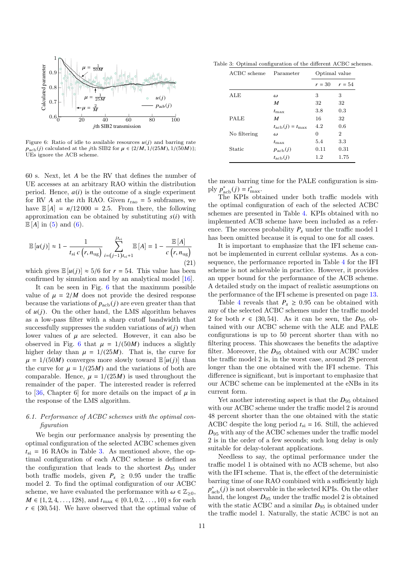

<span id="page-11-0"></span>Figure 6: Ratio of idle to available resources  $u(j)$  and barring rate  $p_{\rm acb}(j)$  calculated at the jth SIB2 for  $\mu \in \{2/M, 1/(25M), 1/(50M)\};$ <br>UEs ignore the ACB scheme.

60 s. Next, let *A* be the RV that defines the number of UE accesses at an arbitrary RAO within the distribution period. Hence,  $a(i)$  is the outcome of a single experiment for RV *A* at the *i*th RAO. Given  $t_{\text{rao}} = 5$  subframes, we have  $\mathbb{E}[A] = n/12000 = 2.5$ . From there, the following approximation can be obtained by substituting *s*(*i*) with  $\mathbb{E}[A]$  in [\(5\)](#page-6-1) and [\(6\)](#page-6-2).

$$
\mathbb{E}\left[u(j)\right] \approx 1 - \frac{1}{t_{\rm si} \ c\left(r, n_{\rm ug}\right)} \sum_{i=\left(j-1\right)t_{\rm si}+1}^{j t_{\rm si}} \mathbb{E}\left[A\right] = 1 - \frac{\mathbb{E}\left[A\right]}{c\left(r, n_{\rm ug}\right)}\tag{21}
$$

which gives  $\mathbb{E}[u(j)] \approx 5/6$  for  $r = 54$ . This value has been confirmed by simulation and by an analytical model [\[16\]](#page-15-12).

It can be seen in Fig. [6](#page-11-0) that the maximum possible value of  $\mu = 2/M$  does not provide the desired response because the variations of  $p_{\rm acb}(j)$  are even greater than that of  $u(j)$ . On the other hand, the LMS algorithm behaves as a low-pass filter with a sharp cutoff bandwidth that successfully suppresses the sudden variations of  $u(j)$  when lower values of  $\mu$  are selected. However, it can also be observed in Fig. [6](#page-11-0) that  $\mu = 1/(50M)$  induces a slightly higher delay than  $\mu = 1/(25M)$ . That is, the curve for  $\mu = 1/(50M)$  converges more slowly toward  $\mathbb{E} [u(j)]$  than the curve for  $\mu = 1/(25M)$  and the variations of both are comparable. Hence,  $\mu = 1/(25M)$  is used throughout the remainder of the paper. The interested reader is referred to [\[36,](#page-16-11) Chapter 6] for more details on the impact of  $\mu$  in the response of the LMS algorithm.

# 6.1. Performance of ACBC schemes with the optimal configuration

We begin our performance analysis by presenting the optimal configuration of the selected ACBC schemes given  $t_{\rm si}$  = 16 RAOs in Table [3.](#page-11-1) As mentioned above, the optimal configuration of each ACBC scheme is defined as the configuration that leads to the shortest  $D_{95}$  under both traffic models, given  $P_s \geq 0.95$  under the traffic model 2. To find the optimal configuration of our ACBC scheme, we have evaluated the performance with  $\omega \in \mathbb{Z}_{\geq 0}$ , *M* ∈ {1, 2, 4, . . ., 128}, and  $t_{\text{max}}$  ∈ {0.1, 0.2, . . . , 10} s for each  $r \in \{30, 54\}$ . We have observed that the optimal value of

Table 3: Optimal configuration of the different ACBC schemes.

<span id="page-11-1"></span>

| ACBC scheme  | Parameter                      | Optimal value |        |
|--------------|--------------------------------|---------------|--------|
|              |                                | $r = 30$      | $r=54$ |
| ALE          | $\omega$                       | 3             | 3      |
|              | M                              | 32            | 32     |
|              | $t_{\rm max}$                  | 3.8           | 0.3    |
| <b>PALE</b>  | M                              | 16            | 32     |
|              | $t_{\rm ach}(j) = t_{\rm max}$ | 4.2           | 0.6    |
| No filtering | $\omega$                       | 0             | 2      |
|              | $t_{\rm max}$                  | 5.4           | 3.3    |
| Static       | $p_{\rm ach}(i)$               | 0.11          | 0.31   |
|              | $t_{\rm acb}(j)$               | 1.2           | 1.75   |

the mean barring time for the PALE configuration is simply  $p_{\text{acb}}^*(j) = t_{\text{max}}^*$ .

The KPIs obtained under both traffic models with the optimal configuration of each of the selected ACBC schemes are presented in Table [4.](#page-12-0) KPIs obtained with no implemented ACB scheme have been included as a reference. The success probability  $P_s$  under the traffic model 1 has been omitted because it is equal to one for all cases.

It is important to emphasize that the IFI scheme cannot be implemented in current cellular systems. As a consequence, the performance reported in Table [4](#page-12-0) for the IFI scheme is not achievable in practice. However, it provides an upper bound for the performance of the ACB scheme. A detailed study on the impact of realistic assumptions on the performance of the IFI scheme is presented on page [13.](#page-13-0)

Table [4](#page-12-0) reveals that  $P_s \geq 0.95$  can be obtained with any of the selected ACBC schemes under the traffic model 2 for both  $r \in \{30, 54\}$ . As it can be seen, the  $D_{95}$  obtained with our ACBC scheme with the ALE and PALE configurations is up to 50 percent shorter than with no filtering process. This showcases the benefits the adaptive filter. Moreover, the  $D_{95}$  obtained with our ACBC under the traffic model 2 is, in the worst case, around 28 percent longer than the one obtained with the IFI scheme. This difference is significant, but is important to emphasize that our ACBC scheme can be implemented at the eNBs in its current form.

Yet another interesting aspect is that the *D*<sup>95</sup> obtained with our ACBC scheme under the traffic model 2 is around 48 percent shorter than the one obtained with the static ACBC despite the long period  $t_{si} = 16$ . Still, the achieved *D*<sup>95</sup> with any of the ACBC schemes under the traffic model 2 is in the order of a few seconds; such long delay is only suitable for delay-tolerant applications.

Needless to say, the optimal performance under the traffic model 1 is obtained with no ACB scheme, but also with the IFI scheme. That is, the effect of the deterministic barring time of one RAO combined with a sufficiently high  $p_{\rm acb}^{*}(j)$  is not observable in the selected KPIs. On the other hand, the longest  $D_{95}$  under the traffic model 2 is obtained with the static ACBC and a similar  $D_{95}$  is obtained under the traffic model 1. Naturally, the static ACBC is not an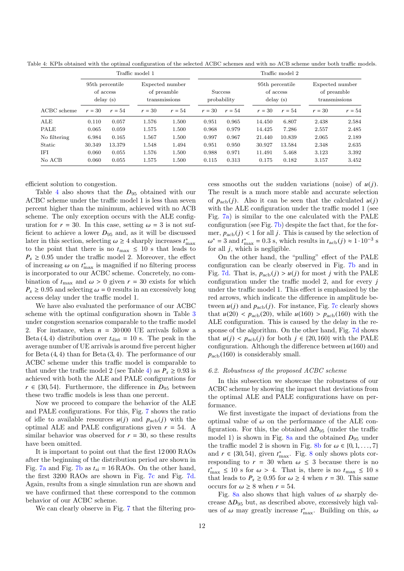<span id="page-12-0"></span>

|              | Traffic model 1                                      |          |                                                 |        | Traffic model 2               |          |                                                      |          |                                                 |        |
|--------------|------------------------------------------------------|----------|-------------------------------------------------|--------|-------------------------------|----------|------------------------------------------------------|----------|-------------------------------------------------|--------|
|              | 95 <sup>th</sup> percentile<br>of access<br>delay(s) |          | Expected number<br>of preamble<br>transmissions |        | <b>Success</b><br>probability |          | 95 <sup>th</sup> percentile<br>of access<br>delay(s) |          | Expected number<br>of preamble<br>transmissions |        |
| ACBC scheme  | $r = 30$                                             | $r = 54$ | $r = 30$                                        | $r=54$ | $r = 30$                      | $r = 54$ | $r = 30$                                             | $r = 54$ | $r = 30$                                        | $r=54$ |
| ALE          | 0.110                                                | 0.057    | 1.576                                           | 1.500  | 0.951                         | 0.965    | 14.450                                               | 6.807    | 2.438                                           | 2.584  |
| PALE         | 0.065                                                | 0.059    | 1.575                                           | 1.500  | 0.968                         | 0.979    | 14.425                                               | 7.286    | 2.557                                           | 2.485  |
| No filtering | 6.984                                                | 0.165    | 1.567                                           | 1.500  | 0.997                         | 0.967    | 21.440                                               | 10.839   | 2.065                                           | 2.189  |
| Static       | 30.349                                               | 13.379   | 1.548                                           | 1.494  | 0.951                         | 0.950    | 30.927                                               | 13.584   | 2.348                                           | 2.635  |
| IFI          | 0.060                                                | 0.055    | 1.576                                           | 1.500  | 0.988                         | 0.971    | 11.491                                               | 5.468    | 3.123                                           | 3.392  |
| No ACB       | 0.060                                                | 0.055    | 1.575                                           | 1.500  | 0.115                         | 0.313    | 0.175                                                | 0.182    | 3.157                                           | 3.452  |

Table 4: KPIs obtained with the optimal configuration of the selected ACBC schemes and with no ACB scheme under both traffic models.

efficient solution to congestion.

Table [4](#page-12-0) also shows that the  $D_{95}$  obtained with our ACBC scheme under the traffic model 1 is less than seven percent higher than the minimum, achieved with no ACB scheme. The only exception occurs with the ALE configuration for  $r = 30$ . In this case, setting  $\omega = 3$  is not sufficient to achieve a lower *D*<sup>95</sup> and, as it will be discussed later in this section, selecting  $\omega \ge 4$  sharply increases  $t_{\text{max}}^*$ <br>to the point that there is no  $t \le 10$  s that leads to to the point that there is no  $t_{\text{max}} \leq 10$  s that leads to  $P_s \geq 0.95$  under the traffic model 2. Moreover, the effect of increasing  $\omega$  on  $t_{\text{max}}^*$  is magnified if no filtering process<br>is incorporated to our ACBC scheme. Concretely, no comis incorporated to our ACBC scheme. Concretely, no combination of  $t_{\text{max}}$  and  $\omega > 0$  given  $r = 30$  exists for which  $P_s \geq 0.95$  and selecting  $\omega = 0$  results in an excessively long access delay under the traffic model 1.

We have also evaluated the performance of our ACBC scheme with the optimal configuration shown in Table [3](#page-11-1) under congestion scenarios comparable to the traffic model 2. For instance, when  $n = 30000 \text{ UE}$  arrivals follow a Beta (4, 4) distribution over  $t_{\text{dist}} = 10$  s. The peak in the average number of UE arrivals is around five percent higher for Beta (4, <sup>4</sup>) than for Beta (3, <sup>4</sup>). The performance of our ACBC scheme under this traffic model is comparable to that under the traffic model 2 (see Table [4\)](#page-12-0) as  $P_s \geq 0.93$  is achieved with both the ALE and PALE configurations for  $r \in \{30, 54\}$ . Furthermore, the difference in  $D_{95}$  between these two traffic models is less than one percent.

Now we proceed to compare the behavior of the ALE and PALE configurations. For this, Fig. [7](#page-13-1) shows the ratio of idle to available resources  $u(j)$  and  $p_{\text{ach}}(j)$  with the optimal ALE and PALE configurations given  $r = 54$ . A similar behavior was observed for  $r = 30$ , so these results have been omitted.

It is important to point out that the first 12 000 RAOs after the beginning of the distribution period are shown in Fig. [7a](#page-13-2) and Fig. [7b](#page-13-3) as  $t_{si} = 16$  RAOs. On the other hand, the first 3200 RAOs are shown in Fig. [7c](#page-13-4) and Fig. [7d.](#page-13-5) Again, results from a single simulation run are shown and we have confirmed that these correspond to the common behavior of our ACBC scheme.

We can clearly observe in Fig. [7](#page-13-1) that the filtering pro-

cess smooths out the sudden variations (noise) of *u*(*j*). The result is a much more stable and accurate selection of  $p_{\text{acb}}(j)$ . Also it can be seen that the calculated  $u(j)$ with the ALE configuration under the traffic model 1 (see Fig. [7a\)](#page-13-2) is similar to the one calculated with the PALE configuration (see Fig. [7b\)](#page-13-3) despite the fact that, for the former,  $p_{\rm acb}(j) < 1$  for all *j*. This is caused by the selection of for all  $j$ , which is negligible. <sup>\*</sup> = 3 and  $t_{\text{max}}^* = 0.3$  s, which results in  $t_{\text{acb}}(j) \approx 1 \cdot 10^{-3}$  s<br>or all *i* which is negligible

On the other hand, the "pulling" effect of the PALE configuration can be clearly observed in Fig. [7b](#page-13-3) and in Fig. [7d.](#page-13-5) That is,  $p_{\text{ach}}(j) > u(j)$  for most *j* with the PALE configuration under the traffic model 2, and for every *j* under the traffic model 1. This effect is emphasized by the red arrows, which indicate the difference in amplitude between  $u(j)$  and  $p_{\text{acb}}(j)$ . For instance, Fig. [7c](#page-13-4) clearly shows that  $u(20) < p_{\text{acb}}(20)$ , while  $u(160) > p_{\text{acb}}(160)$  with the ALE configuration. This is caused by the delay in the response of the algorithm. On the other hand, Fig. [7d](#page-13-5) shows that  $u(j) < p_{\text{ach}}(j)$  for both  $j \in \{20, 160\}$  with the PALE configuration. Although the difference between *u*(160) and  $p_{\rm ach}(160)$  is considerably small.

## 6.2. Robustness of the proposed ACBC scheme

In this subsection we showcase the robustness of our ACBC scheme by showing the impact that deviations from the optimal ALE and PALE configurations have on performance.

We first investigate the impact of deviations from the optimal value of  $\omega$  on the performance of the ALE configuration. For this, the obtained ∆*D*<sup>95</sup> (under the traffic model 1) is shown in Fig. [8a](#page-14-0) and the obtained *D*<sup>95</sup> under the traffic model 2 is shown in Fig. [8b](#page-14-1) for  $\omega \in \{0, 1, ..., 7\}$ and  $r \in \{30, 54\}$ , given  $t_{\text{max}}^*$ . Fig. [8](#page-14-2) only shows plots corresponding to  $r = 30$  when  $\omega \le 3$  because there is no responding to  $r = 30$  when  $\omega \leq 3$  because there is no  $t_{\text{max}}^* \leq 10$  s for  $\omega > 4$ . That is, there is no  $t_{\text{max}} \leq 10$  s<br>
<sup>that</sup> leads to  $P > 0.95$  for  $\omega > 4$  when  $r = 30$ . This same that leads to  $P_s \ge 0.95$  for  $\omega \ge 4$  when  $r = 30$ . This same occurs for  $\omega \geq 8$  when  $r = 54$ .

Fig. [8a](#page-14-0) also shows that high values of  $\omega$  sharply decrease  $\Delta D_{95}$  but, as described above, excessively high values of  $\omega$  may greatly increase  $t_{\text{max}}^*$ . Building on this,  $\omega$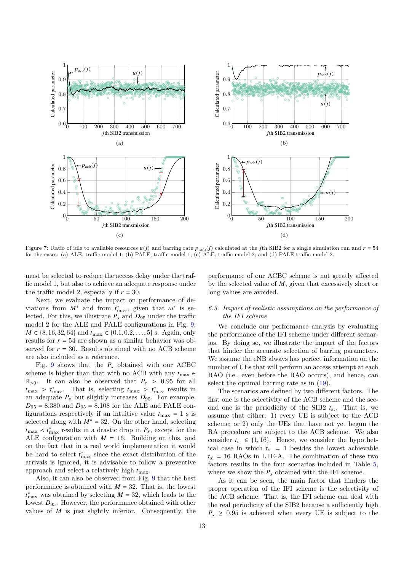<span id="page-13-4"></span><span id="page-13-2"></span>

<span id="page-13-1"></span>Figure 7: Ratio of idle to available resources  $u(j)$  and barring rate  $p_{\rm acb}(j)$  calculated at the jth SIB2 for a single simulation run and  $r = 54$ for the cases: (a) ALE, traffic model 1; (b) PALE, traffic model 1; (c) ALE, traffic model 2; and (d) PALE traffic model 2.

must be selected to reduce the access delay under the traffic model 1, but also to achieve an adequate response under the traffic model 2, especially if  $r = 30$ .

Next, we evaluate the impact on performance of deviations from  $M^*$  and from  $t^*_{\text{max}}$ , given that  $\omega^*$  is se-<br>lected. For this we illustrate  $P$  and  $D_{\text{ex}}$  under the traffic lected. For this, we illustrate  $P_s$  and  $D_{95}$  under the traffic model 2 for the ALE and PALE configurations in Fig. [9;](#page-14-3) *M* ∈ {8, 16, 32, 64} and  $t_{\text{max}}$  ∈ {0.1, 0.2, . . . , 5} s. Again, only results for  $r = 54$  are shown as a similar behavior was observed for  $r = 30$ . Results obtained with no ACB scheme are also included as a reference.

Fig. [9](#page-14-3) shows that the  $P_s$  obtained with our ACBC scheme is higher than that with no ACB with any  $t_{\text{max}} \in$  $\mathbb{R}_{>0}$ . It can also be observed that  $P_s > 0.95$  for all  $t_{\text{max}} > t_{\text{max}}^*$ . That is, selecting  $t_{\text{max}} > t_{\text{max}}^*$  results in an adequate  $P_s$  but slightly increases  $D_{95}$ . For example,  $D_{95} = 8.380$  and  $D_{95} = 8.108$  for the ALE and PALE configurations respectively if an intuitive value  $t_{\text{max}} = 1$  s is selected along with  $M^* = 32$ . On the other hand, selecting  $t_{\text{max}} < t_{\text{max}}^*$  results in a drastic drop in  $P_s$ , except for the  $\Delta L$  F configuration with  $M = 16$ . Building on this and ALE configuration with  $M = 16$ . Building on this, and on the fact that in a real world implementation it would be hard to select  $t^*$ <sub>max</sub> since the exact distribution of the arrivals is ignored, it is advisable to follow a preventive approach and select a relatively high  $t_{\text{max}}$ .

Also, it can also be observed from Fig. [9](#page-14-3) that the best performance is obtained with  $M = 32$ . That is, the lowest  $t_{\text{max}}^*$  was obtained by selecting  $M = 32$ , which leads to the lowest  $D_{95}$ . However, the performance obtained with other values of  $M$  is just slightly inferior. Consequently, the

<span id="page-13-5"></span><span id="page-13-3"></span>performance of our ACBC scheme is not greatly affected by the selected value of *M*, given that excessively short or long values are avoided.

# <span id="page-13-0"></span>6.3. Impact of realistic assumptions on the performance of the IFI scheme

We conclude our performance analysis by evaluating the performance of the IFI scheme under different scenarios. By doing so, we illustrate the impact of the factors that hinder the accurate selection of barring parameters. We assume the eNB always has perfect information on the number of UEs that will perform an access attempt at each RAO (i.e., even before the RAO occurs), and hence, can select the optimal barring rate as in [\(19\)](#page-10-1).

The scenarios are defined by two different factors. The first one is the selectivity of the ACB scheme and the second one is the periodicity of the SIB2  $t_{si}$ . That is, we assume that either: 1) every UE is subject to the ACB scheme; or 2) only the UEs that have not yet begun the RA procedure are subject to the ACB scheme. We also consider  $t_{si} \in \{1, 16\}$ . Hence, we consider the hypothetical case in which  $t_{\rm si} = 1$  besides the lowest achievable  $t_{\rm si}$  = 16 RAOs in LTE-A. The combination of these two factors results in the four scenarios included in Table [5,](#page-14-4) where we show the  $P_s$  obtained with the IFI scheme.

As it can be seen, the main factor that hinders the proper operation of the IFI scheme is the selectivity of the ACB scheme. That is, the IFI scheme can deal with the real periodicity of the SIB2 because a sufficiently high  $P_s \geq 0.95$  is achieved when every UE is subject to the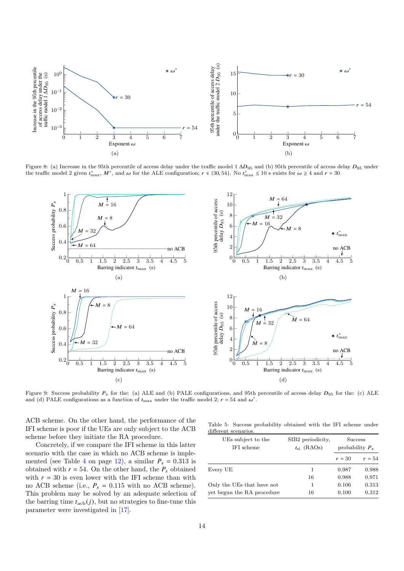<span id="page-14-0"></span>

Figure 8: (a) Increase in the 95th percentile of access delay under the traffic model 1  $\Delta D_{95}$  and (b) 95th percentile of access delay  $D_{95}$  under the traffic model 2 given  $t_{\text{max}}^*$ ,  $M^*$ , and  $\omega$  for the ALE configuration;  $r \in \{30, 54\}$ . No  $t_{\text{max}}^* \le 10$  s exists for  $\omega \ge 4$  and  $r = 30$ 

<span id="page-14-2"></span><span id="page-14-1"></span>

<span id="page-14-3"></span>Figure 9: Success probability  $P_s$  for the: (a) ALE and (b) PALE configurations, and 95th percentile of access delay  $D_{95}$  for the: (c) ALE and (d) PALE configurations as a function of  $t_{\text{max}}$  under the traffic model 2;  $r = 54$  and  $\omega^*$ .

ACB scheme. On the other hand, the performance of the IFI scheme is poor if the UEs are only subject to the ACB scheme before they initiate the RA procedure.

Concretely, if we compare the IFI scheme in this latter scenario with the case in which no ACB scheme is imple-mented (see Table [4](#page-12-0) on page [12\)](#page-12-0), a similar  $P_s = 0.313$  is obtained with  $r = 54$ . On the other hand, the  $P_s$  obtained with  $r = 30$  is even lower with the IFI scheme than with no ACB scheme (i.e.,  $P_s = 0.115$  with no ACB scheme). This problem may be solved by an adequate selection of the barring time  $t_{\rm acb}(j)$ , but no strategies to fine-tune this parameter were investigated in [\[17\]](#page-15-17).

<span id="page-14-4"></span>

|                      | Table 5: Success probability obtained with the IFI scheme under |  |  |  |
|----------------------|-----------------------------------------------------------------|--|--|--|
| different scenarios. |                                                                 |  |  |  |

| UEs subject to the<br>IFI scheme | SIB <sub>2</sub> periodicity,<br>$t_{\rm si}$ (RAOs) | <b>Success</b><br>probability $P_s$ |        |
|----------------------------------|------------------------------------------------------|-------------------------------------|--------|
|                                  |                                                      | $r = 30$                            | $r=54$ |
| Every UE                         | 1                                                    | 0.987                               | 0.988  |
|                                  | 16                                                   | 0.988                               | 0.971  |
| Only the UEs that have not       | 1                                                    | 0.106                               | 0.313  |
| yet begun the RA procedure       | 16                                                   | 0.100                               | 0.312  |
|                                  |                                                      |                                     |        |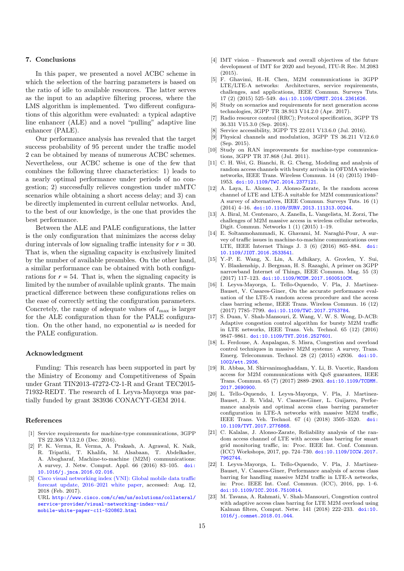#### <span id="page-15-19"></span>7. Conclusions

In this paper, we presented a novel ACBC scheme in which the selection of the barring parameters is based on the ratio of idle to available resources. The latter serves as the input to an adaptive filtering process, where the LMS algorithm is implemented. Two different configurations of this algorithm were evaluated: a typical adaptive line enhancer (ALE) and a novel "pulling" adaptive line enhancer (PALE).

Our performance analysis has revealed that the target success probability of 95 percent under the traffic model 2 can be obtained by means of numerous ACBC schemes. Nevertheless, our ACBC scheme is one of the few that combines the following three characteristics: 1) leads to a nearly optimal performance under periods of no congestion; 2) successfully relieves congestion under mMTC scenarios while obtaining a short access delay; and 3) can be directly implemented in current cellular networks. And, to the best of our knowledge, is the one that provides the best performance.

Between the ALE and PALE configurations, the latter is the only configuration that minimizes the access delay during intervals of low signaling traffic intensity for  $r = 30$ . That is, when the signaling capacity is exclusively limited by the number of available preambles. On the other hand, a similar performance can be obtained with both configurations for  $r = 54$ . That is, when the signaling capacity is limited by the number of available uplink grants. The main practical difference between these configurations relies on the ease of correctly setting the configuration parameters. Concretely, the range of adequate values of  $t_{\text{max}}$  is larger for the ALE configuration than for the PALE configuration. On the other hand, no exponential  $\omega$  is needed for the PALE configuration.

#### Acknowledgment

Funding: This research has been supported in part by the Ministry of Economy and Competitiveness of Spain under Grant TIN2013-47272-C2-1-R and Grant TEC2015- 71932-REDT. The research of I. Leyva-Mayorga was partially funded by grant 383936 CONACYT-GEM 2014.

## References

- <span id="page-15-0"></span>[1] Service requirements for machine-type communications, 3GPP TS 22.368 V13.2.0 (Dec. 2016).
- <span id="page-15-1"></span>[2] P. K. Verma, R. Verma, A. Prakash, A. Agrawal, K. Naik, R. Tripathi, T. Khalifa, M. Alsabaan, T. Abdelkader, A. Abogharaf, Machine-to-machine (M2M) communications: A survey, J. Netw. Comput. Appl. 66 (2016) 83–105. [doi:](https://doi.org/10.1016/j.jnca.2016.02.016) [10.1016/j.jnca.2016.02.016](https://doi.org/10.1016/j.jnca.2016.02.016).
- <span id="page-15-2"></span>[3] [Cisco visual networking index \(VNI\): Global mobile data traffic](http://www.cisco.com/c/en/us/solutions/collateral/service-provider/visual-networking-index-vni/mobile-white-paper-c11-520862.html) [forecast update, 2016–2021 white paper,](http://www.cisco.com/c/en/us/solutions/collateral/service-provider/visual-networking-index-vni/mobile-white-paper-c11-520862.html) accessed: Aug. 12, 2018 (Feb. 2017). URL [http://www.cisco.com/c/en/us/solutions/collateral/](http://www.cisco.com/c/en/us/solutions/collateral/service-provider/visual-networking-index-vni/mobile-white-paper-c11-520862.html)

[service-provider/visual-networking-index-vni/](http://www.cisco.com/c/en/us/solutions/collateral/service-provider/visual-networking-index-vni/mobile-white-paper-c11-520862.html) [mobile-white-paper-c11-520862.html](http://www.cisco.com/c/en/us/solutions/collateral/service-provider/visual-networking-index-vni/mobile-white-paper-c11-520862.html)

- <span id="page-15-3"></span>[4] IMT vision – Framework and overall objectives of the future development of IMT for 2020 and beyond, ITU-R Rec. M.2083  $(2015)$
- <span id="page-15-4"></span>[5] F. Ghavimi, H.-H. Chen, M2M communications in 3GPP LTE/LTE-A networks: Architectures, service requirements, challenges, and applications, IEEE Commun. Surveys Tuts. 17 (2) (2015) 525–549. [doi:10.1109/COMST.2014.2361626](https://doi.org/10.1109/COMST.2014.2361626).
- <span id="page-15-5"></span>[6] Study on scenarios and requirements for next generation access technologies, 3GPP TR 38.913 V14.2.0 (Apr. 2017).
- <span id="page-15-6"></span>Radio resource control (RRC); Protocol specification, 3GPP TS 36.331 V15.3.0 (Sep. 2018).
- <span id="page-15-22"></span>
- <span id="page-15-7"></span>[8] Service accessibility, 3GPP TS 22.011 V13.6.0 (Jul. 2016). Physical channels and modulation, 3GPP TS 36.211 V12.6.0 (Sep. 2015).
- <span id="page-15-8"></span>[10] Study on RAN improvements for machine-type communications, 3GPP TR 37.868 (Jul. 2011).
- <span id="page-15-20"></span>[11] C. H. Wei, G. Bianchi, R. G. Cheng, Modeling and analysis of random access channels with bursty arrivals in OFDMA wireless networks, IEEE Trans. Wireless Commun. 14 (4) (2015) 1940– 1953. [doi:10.1109/TWC.2014.2377121](https://doi.org/10.1109/TWC.2014.2377121).
- <span id="page-15-21"></span>[12] A. Laya, L. Alonso, J. Alonso-Zarate, Is the random access channel of LTE and LTE-A suitable for M2M communications? A survey of alternatives, IEEE Commun. Surveys Tuts. 16 (1) (2014) 4–16. [doi:10.1109/SURV.2013.111313.00244](https://doi.org/10.1109/SURV.2013.111313.00244).
- <span id="page-15-9"></span>[13] A. Biral, M. Centenaro, A. Zanella, L. Vangelista, M. Zorzi, The challenges of M2M massive access in wireless cellular networks, Digit. Commun. Networks 1 (1) (2015) 1–19.
- <span id="page-15-10"></span>[14] E. Soltanmohammadi, K. Ghavami, M. Naraghi-Pour, A survey of traffic issues in machine-to-machine communications over LTE, IEEE Internet Things J. 3 (6) (2016) 865–884. [doi:](https://doi.org/10.1109/JIOT.2016.2533541) [10.1109/JIOT.2016.2533541](https://doi.org/10.1109/JIOT.2016.2533541).
- [15] Y.-P. E. Wang, X. Lin, A. Adhikary, A. Grovlen, Y. Sui, Y. Blankenship, J. Bergman, H. S. Razaghi, A primer on 3GPP narrowband Internet of Things, IEEE Commun. Mag. 55 (3) (2017) 117–123. [doi:10.1109/MCOM.2017.1600510CM](https://doi.org/10.1109/MCOM.2017.1600510CM).
- <span id="page-15-12"></span>[16] I. Leyva-Mayorga, L. Tello-Oquendo, V. Pla, J. Martinez-Bauset, V. Casares-Giner, On the accurate performance evaluation of the LTE-A random access procedure and the access class barring scheme, IEEE Trans. Wireless Commun. 16 (12) (2017) 7785–7799. [doi:10.1109/TWC.2017.2753784](https://doi.org/10.1109/TWC.2017.2753784).
- <span id="page-15-17"></span>[17] S. Duan, V. Shah-Mansouri, Z. Wang, V. W. S. Wong, D-ACB: Adaptive congestion control algorithm for bursty M2M traffic in LTE networks, IEEE Trans. Veh. Technol. 65 (12) (2016) 9847–9861. [doi:10.1109/TVT.2016.2527601](https://doi.org/10.1109/TVT.2016.2527601).
- <span id="page-15-15"></span>[18] L. Ferdouse, A. Anpalagan, S. Misra, Congestion and overload control techniques in massive M2M systems: A survey, Trans. Emerg. Telecommun. Technol. 28 (2) (2015) e2936. [doi:10.](https://doi.org/10.1002/ett.2936) [1002/ett.2936](https://doi.org/10.1002/ett.2936).
- <span id="page-15-11"></span>[19] R. Abbas, M. Shirvanimoghaddam, Y. Li, B. Vucetic, Random access for M2M communications with QoS guarantees, IEEE Trans. Commun. 65 (7) (2017) 2889–2903. [doi:10.1109/TCOMM.](https://doi.org/10.1109/TCOMM.2017.2690900) [2017.2690900](https://doi.org/10.1109/TCOMM.2017.2690900).
- <span id="page-15-13"></span>[20] L. Tello-Oquendo, I. Leyva-Mayorga, V. Pla, J. Martinez-Bauset, J. R. Vidal, V. Casares-Giner, L. Guijarro, Performance analysis and optimal access class barring parameter configuration in LTE-A networks with massive M2M traffic, IEEE Trans. Veh. Technol. 67 (4) (2018) 3505–3520. [doi:](https://doi.org/10.1109/TVT.2017.2776868) [10.1109/TVT.2017.2776868](https://doi.org/10.1109/TVT.2017.2776868).
- <span id="page-15-14"></span>[21] C. Kalalas, J. Alonso-Zarate, Reliability analysis of the random access channel of LTE with access class barring for smart grid monitoring traffic, in: Proc. IEEE Int. Conf. Commun. (ICC) Workshops, 2017, pp. 724–730. [doi:10.1109/ICCW.2017.](https://doi.org/10.1109/ICCW.2017.7962744) [7962744](https://doi.org/10.1109/ICCW.2017.7962744).
- <span id="page-15-16"></span>[22] I. Leyva-Mayorga, L. Tello-Oquendo, V. Pla, J. Martinez-Bauset, V. Casares-Giner, Performance analysis of access class barring for handling massive M2M traffic in LTE-A networks, in: Proc. IEEE Int. Conf. Commun. (ICC), 2016, pp. 1–6. [doi:10.1109/ICC.2016.7510814](https://doi.org/10.1109/ICC.2016.7510814).
- <span id="page-15-18"></span>[23] M. Tavana, A. Rahmati, V. Shah-Mansouri, Congestion control with adaptive access class barring for LTE M2M overload using Kalman filters, Comput. Netw. 141 (2018) 222–233. [doi:10.](https://doi.org/10.1016/j.comnet.2018.01.044) [1016/j.comnet.2018.01.044](https://doi.org/10.1016/j.comnet.2018.01.044).